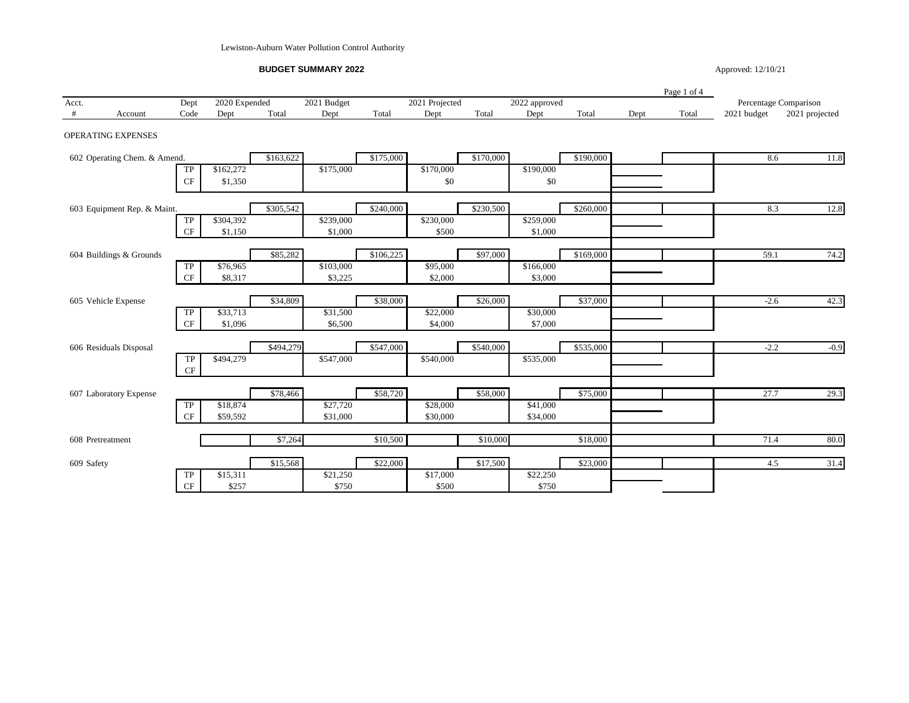Lewiston-Auburn Water Pollution Control Authority

**BUDGET SUMMARY 2022**

Approved: 12/10/21

|            |                              |                |               |           |             |           |                |           |               |           |      | Page 1 of 4 |             |                       |
|------------|------------------------------|----------------|---------------|-----------|-------------|-----------|----------------|-----------|---------------|-----------|------|-------------|-------------|-----------------------|
| Acct.      |                              | Dept           | 2020 Expended |           | 2021 Budget |           | 2021 Projected |           | 2022 approved |           |      |             |             | Percentage Comparison |
| #          | Account                      | Code           | Dept          | Total     | Dept        | Total     | Dept           | Total     | Dept          | Total     | Dept | Total       | 2021 budget | 2021 projected        |
|            | OPERATING EXPENSES           |                |               |           |             |           |                |           |               |           |      |             |             |                       |
|            | 602 Operating Chem. & Amend. |                |               | \$163,622 |             | \$175,000 |                | \$170,000 |               | \$190,000 |      |             | 8.6         | 11.8                  |
|            |                              | TP             | \$162,272     |           | \$175,000   |           | \$170,000      |           | \$190,000     |           |      |             |             |                       |
|            |                              | CF             | \$1,350       |           |             |           | \$0            |           | \$0           |           |      |             |             |                       |
|            | 603 Equipment Rep. & Maint.  |                |               | \$305,542 |             | \$240,000 |                | \$230,500 |               | \$260,000 |      |             | 8.3         | 12.8                  |
|            |                              | TP             | \$304,392     |           | \$239,000   |           | \$230,000      |           | \$259,000     |           |      |             |             |                       |
|            |                              | $\rm CF$       | \$1,150       |           | \$1,000     |           | \$500          |           | \$1,000       |           |      |             |             |                       |
|            | 604 Buildings & Grounds      |                |               | \$85,282  |             | \$106,225 |                | \$97,000  |               | \$169,000 |      |             | 59.1        | 74.2                  |
|            |                              | TP             | \$76,965      |           | \$103,000   |           | \$95,000       |           | \$166,000     |           |      |             |             |                       |
|            |                              | $\rm CF$       | \$8,317       |           | \$3,225     |           | \$2,000        |           | \$3,000       |           |      |             |             |                       |
|            | 605 Vehicle Expense          |                |               | \$34,809  |             | \$38,000  |                | \$26,000  |               | \$37,000  |      |             | $-2.6$      | 42.3                  |
|            |                              | TP             | \$33,713      |           | \$31,500    |           | \$22,000       |           | \$30,000      |           |      |             |             |                       |
|            |                              | $\rm CF$       | \$1,096       |           | \$6,500     |           | \$4,000        |           | \$7,000       |           |      |             |             |                       |
|            | 606 Residuals Disposal       |                |               | \$494,279 |             | \$547,000 |                | \$540,000 |               | \$535,000 |      |             | $-2.2$      | $-0.9$                |
|            |                              | TP<br>$\rm CF$ | \$494,279     |           | \$547,000   |           | \$540,000      |           | \$535,000     |           |      |             |             |                       |
|            |                              |                |               |           |             |           |                |           |               |           |      |             |             |                       |
|            | 607 Laboratory Expense       |                |               | \$78,466  |             | \$58,720  |                | \$58,000  |               | \$75,000  |      |             | 27.7        | 29.3                  |
|            |                              | TP             | \$18,874      |           | \$27,720    |           | \$28,000       |           | \$41,000      |           |      |             |             |                       |
|            |                              | CF             | \$59,592      |           | \$31,000    |           | \$30,000       |           | \$34,000      |           |      |             |             |                       |
|            | 608 Pretreatment             |                |               | \$7,264   |             | \$10,500  |                | \$10,000  |               | \$18,000  |      |             | 71.4        | 80.0                  |
| 609 Safety |                              |                |               | \$15,568  |             | \$22,000  |                | \$17,500  |               | \$23,000  |      |             | 4.5         | 31.4                  |
|            |                              | TP             | \$15,311      |           | \$21,250    |           | \$17,000       |           | \$22,250      |           |      |             |             |                       |
|            |                              | $\rm CF$       | \$257         |           | \$750       |           | \$500          |           | \$750         |           |      |             |             |                       |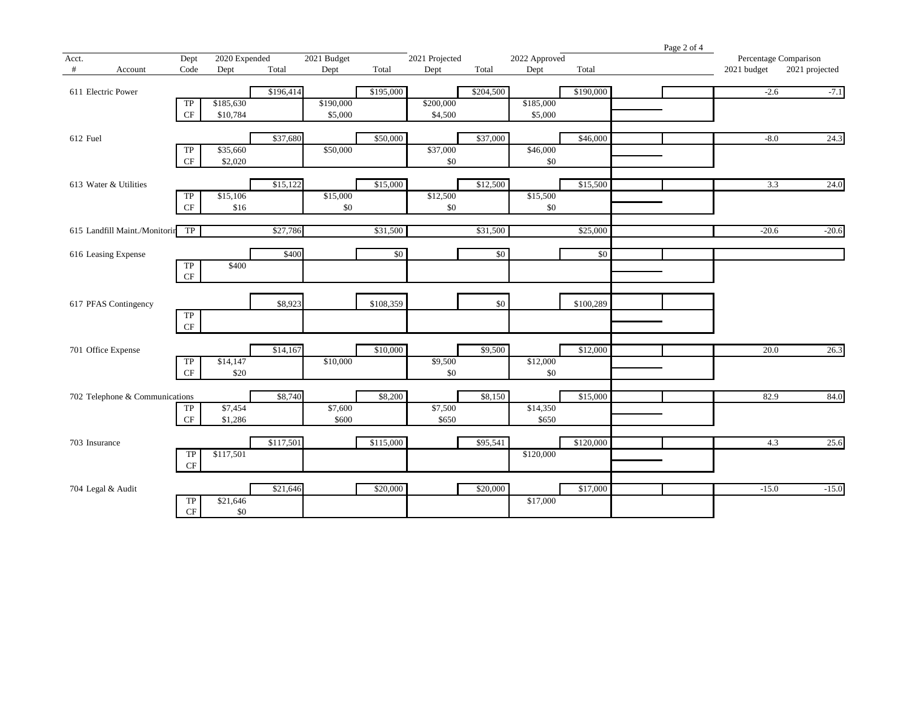|               |                                  |                          |                 |           |             |           |                |           |               |            | Page 2 of 4 |                       |                |
|---------------|----------------------------------|--------------------------|-----------------|-----------|-------------|-----------|----------------|-----------|---------------|------------|-------------|-----------------------|----------------|
| Acct.         |                                  | Dept                     | 2020 Expended   |           | 2021 Budget |           | 2021 Projected |           | 2022 Approved |            |             | Percentage Comparison |                |
| #             | Account                          | Code                     | Dept            | Total     | Dept        | Total     | Dept           | Total     | Dept          | Total      |             | 2021 budget           | 2021 projected |
|               | 611 Electric Power               |                          |                 | \$196,414 |             | \$195,000 |                | \$204,500 |               | \$190,000  |             | $-2.6$                | $-7.1$         |
|               |                                  | TP                       | \$185,630       |           | \$190,000   |           | \$200,000      |           | \$185,000     |            |             |                       |                |
|               |                                  | CF                       | \$10,784        |           | \$5,000     |           | \$4,500        |           | \$5,000       |            |             |                       |                |
| 612 Fuel      |                                  |                          |                 | \$37,680  |             | \$50,000  |                | \$37,000  |               | \$46,000   |             | $-8.0$                | 24.3           |
|               |                                  | TP                       | \$35,660        |           | \$50,000    |           | \$37,000       |           | \$46,000      |            |             |                       |                |
|               |                                  | $\rm CF$                 | \$2,020         |           |             |           | \$0            |           | \$0           |            |             |                       |                |
|               | 613 Water & Utilities            |                          |                 | \$15,122  |             | \$15,000  |                | \$12,500  |               | \$15,500   |             | 3.3                   | 24.0           |
|               |                                  | $\overline{\text{TP}}$   | \$15,106        |           | \$15,000    |           | \$12,500       |           | \$15,500      |            |             |                       |                |
|               |                                  | $\cal{CF}$               | \$16            |           | $\$0$       |           | \$0            |           | $\$0$         |            |             |                       |                |
|               | 615 Landfill Maint./Monitorir TP |                          |                 | \$27,786  |             | \$31,500  |                | \$31,500  |               | \$25,000   |             | $-20.6$               | $-20.6$        |
|               | 616 Leasing Expense              |                          |                 | \$400     |             | \$0       |                | \$0       |               | $\sqrt{6}$ |             |                       |                |
|               |                                  | $\overline{\text{TP}}$   | \$400           |           |             |           |                |           |               |            |             |                       |                |
|               |                                  | $\rm CF$                 |                 |           |             |           |                |           |               |            |             |                       |                |
|               | 617 PFAS Contingency             |                          |                 | \$8,923   |             | \$108,359 |                | \$0       |               | \$100,289  |             |                       |                |
|               |                                  | ${\rm TP}$               |                 |           |             |           |                |           |               |            |             |                       |                |
|               |                                  | $\rm CF$                 |                 |           |             |           |                |           |               |            |             |                       |                |
|               | 701 Office Expense               |                          |                 | \$14,167  |             | \$10,000  |                | \$9,500   |               | \$12,000   |             | 20.0                  | 26.3           |
|               |                                  | TP                       | \$14,147        |           | \$10,000    |           | \$9,500        |           | \$12,000      |            |             |                       |                |
|               |                                  | $\cal{CF}$               | \$20            |           |             |           | \$0            |           | \$0           |            |             |                       |                |
|               | 702 Telephone & Communications   |                          |                 | \$8,740   |             | \$8,200   |                | \$8,150   |               | \$15,000   |             | 82.9                  | 84.0           |
|               |                                  | <b>TP</b>                | \$7,454         |           | \$7,600     |           | \$7,500        |           | \$14,350      |            |             |                       |                |
|               |                                  | $\rm CF$                 | \$1,286         |           | \$600       |           | \$650          |           | \$650         |            |             |                       |                |
| 703 Insurance |                                  |                          |                 | \$117,501 |             | \$115,000 |                | \$95,541  |               | \$120,000  |             | 4.3                   | 25.6           |
|               |                                  | ${\rm TP}$<br>$\cal{CF}$ | \$117,501       |           |             |           |                |           | \$120,000     |            |             |                       |                |
|               |                                  |                          |                 |           |             |           |                |           |               |            |             |                       |                |
|               | 704 Legal & Audit                |                          |                 | \$21,646  |             | \$20,000  |                | \$20,000  |               | \$17,000   |             | $-15.0$               | $-15.0$        |
|               |                                  | TP<br>$\cal{CF}$         | \$21,646<br>\$0 |           |             |           |                |           | \$17,000      |            |             |                       |                |
|               |                                  |                          |                 |           |             |           |                |           |               |            |             |                       |                |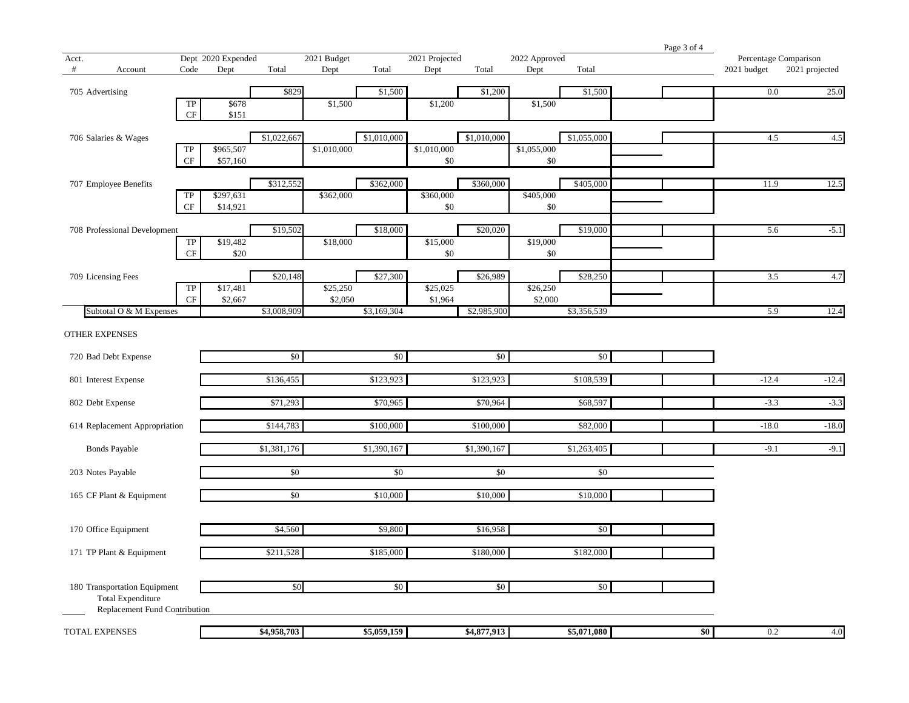|                       |                               |                        |                    |             |             |             |                |             |               |             | Page 3 of 4 |                       |                |
|-----------------------|-------------------------------|------------------------|--------------------|-------------|-------------|-------------|----------------|-------------|---------------|-------------|-------------|-----------------------|----------------|
| Acct.                 |                               |                        | Dept 2020 Expended |             | 2021 Budget |             | 2021 Projected |             | 2022 Approved |             |             | Percentage Comparison |                |
| #                     | Account                       | Code                   | Dept               | Total       | Dept        | Total       | Dept           | Total       | Dept          | Total       |             | 2021 budget           | 2021 projected |
|                       |                               |                        |                    |             |             |             |                |             |               |             |             |                       |                |
| 705 Advertising       |                               |                        |                    | \$829       |             | \$1,500     |                | \$1,200     |               | \$1,500     |             | 0.0                   | 25.0           |
|                       |                               | TP<br>$\rm CF$         | \$678<br>\$151     |             | \$1,500     |             | \$1,200        |             | \$1,500       |             |             |                       |                |
|                       |                               |                        |                    |             |             |             |                |             |               |             |             |                       |                |
|                       | 706 Salaries & Wages          |                        |                    | \$1,022,667 |             | \$1,010,000 |                | \$1,010,000 |               | \$1,055,000 |             | 4.5                   | 4.5            |
|                       |                               | ${\rm TP}$             | \$965,507          |             | \$1,010,000 |             | \$1,010,000    |             | \$1,055,000   |             |             |                       |                |
|                       |                               | CF                     | \$57,160           |             |             |             | \$0            |             | \$0           |             |             |                       |                |
|                       |                               |                        |                    |             |             |             |                |             |               |             |             |                       |                |
|                       | 707 Employee Benefits         |                        |                    | \$312,552   |             | \$362,000   |                | \$360,000   |               | \$405,000   |             | 11.9                  | 12.5           |
|                       |                               | TP                     | \$297,631          |             | \$362,000   |             | \$360,000      |             | \$405,000     |             |             |                       |                |
|                       |                               | CF                     | \$14,921           |             |             |             | \$0            |             | \$0           |             |             |                       |                |
|                       |                               |                        |                    |             |             |             |                |             |               |             |             |                       |                |
|                       | 708 Professional Development  |                        | \$19,482           | \$19,502    |             | \$18,000    | \$15,000       | \$20,020    | \$19,000      | \$19,000    |             | 5.6                   | $-5.1$         |
|                       |                               | ${\rm TP}$<br>$\rm CF$ | \$20               |             | \$18,000    |             | \$0            |             | \$0           |             |             |                       |                |
|                       |                               |                        |                    |             |             |             |                |             |               |             |             |                       |                |
|                       | 709 Licensing Fees            |                        |                    | \$20,148    |             | \$27,300    |                | \$26,989    |               | \$28,250    |             | 3.5                   | 4.7            |
|                       |                               | ${\rm TP}$             | \$17,481           |             | \$25,250    |             | \$25,025       |             | \$26,250      |             |             |                       |                |
|                       |                               | $\mathrm{CF}$          | \$2,667            |             | \$2,050     |             | \$1,964        |             | \$2,000       |             |             |                       |                |
|                       | Subtotal O & M Expenses       |                        |                    | \$3,008,909 |             | \$3,169,304 |                | \$2,985,900 |               | \$3,356,539 |             | 5.9                   | 12.4           |
|                       |                               |                        |                    |             |             |             |                |             |               |             |             |                       |                |
| <b>OTHER EXPENSES</b> |                               |                        |                    |             |             |             |                |             |               |             |             |                       |                |
|                       |                               |                        |                    |             |             |             |                |             |               |             |             |                       |                |
|                       | 720 Bad Debt Expense          |                        |                    | \$0         |             | \$0         |                | \$0         |               | \$0         |             |                       |                |
|                       | 801 Interest Expense          |                        |                    | \$136,455   |             | \$123,923   |                | \$123,923   |               | \$108,539   |             | $-12.4$               | $-12.4$        |
|                       |                               |                        |                    |             |             |             |                |             |               |             |             |                       |                |
| 802 Debt Expense      |                               |                        |                    | \$71,293    |             | \$70,965    |                | \$70,964    |               | \$68,597    |             | $-3.3$                | $-3.3$         |
|                       |                               |                        |                    |             |             |             |                |             |               |             |             |                       |                |
|                       | 614 Replacement Appropriation |                        |                    | \$144,783   |             | \$100,000   |                | \$100,000   |               | \$82,000    |             | $-18.0$               | $-18.0$        |
|                       |                               |                        |                    |             |             |             |                |             |               |             |             |                       |                |
|                       | <b>Bonds Payable</b>          |                        |                    | \$1,381,176 |             | \$1,390,167 |                | \$1,390,167 |               | \$1,263,405 |             | $-9.1$                | $-9.1$         |
|                       |                               |                        |                    |             |             |             |                |             |               |             |             |                       |                |
|                       | 203 Notes Payable             |                        |                    | \$0         |             | $\sqrt{6}$  |                | $\sqrt{6}$  |               | $\sqrt{6}$  |             |                       |                |
|                       |                               |                        |                    | \$0         |             | \$10,000    |                | \$10,000    |               | \$10,000    |             |                       |                |
|                       | 165 CF Plant & Equipment      |                        |                    |             |             |             |                |             |               |             |             |                       |                |
|                       |                               |                        |                    |             |             |             |                |             |               |             |             |                       |                |
|                       | 170 Office Equipment          |                        |                    | \$4,560     |             | \$9,800     |                | \$16,958    |               | \$0         |             |                       |                |
|                       |                               |                        |                    |             |             |             |                |             |               |             |             |                       |                |
|                       | 171 TP Plant & Equipment      |                        |                    | \$211,528   |             | \$185,000   |                | \$180,000   |               | \$182,000   |             |                       |                |
|                       |                               |                        |                    |             |             |             |                |             |               |             |             |                       |                |
|                       |                               |                        |                    |             |             |             |                |             |               |             |             |                       |                |
|                       | 180 Transportation Equipment  |                        |                    | \$0         |             | \$0         |                | \$0         |               | \$0         |             |                       |                |
|                       | <b>Total Expenditure</b>      |                        |                    |             |             |             |                |             |               |             |             |                       |                |
|                       | Replacement Fund Contribution |                        |                    |             |             |             |                |             |               |             |             |                       |                |
| <b>TOTAL EXPENSES</b> |                               |                        |                    | \$4,958,703 |             | \$5,059,159 |                | \$4,877,913 |               | \$5,071,080 | \$0         | 0.2                   | 4.0            |
|                       |                               |                        |                    |             |             |             |                |             |               |             |             |                       |                |